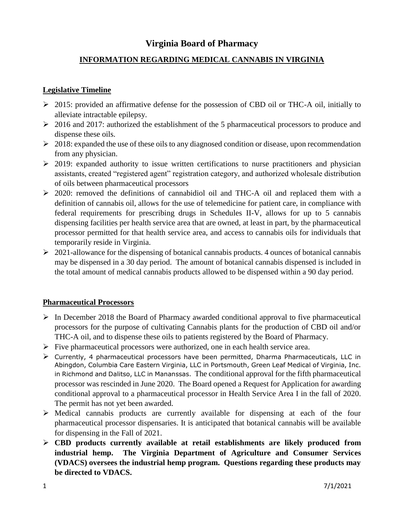# **Virginia Board of Pharmacy**

## **INFORMATION REGARDING MEDICAL CANNABIS IN VIRGINIA**

#### **Legislative Timeline**

- 2015: provided an affirmative defense for the possession of CBD oil or THC-A oil, initially to alleviate intractable epilepsy.
- $\geq 2016$  and 2017: authorized the establishment of the 5 pharmaceutical processors to produce and dispense these oils.
- $\geq 2018$ : expanded the use of these oils to any diagnosed condition or disease, upon recommendation from any physician.
- $\geq$  2019: expanded authority to issue written certifications to nurse practitioners and physician assistants, created "registered agent" registration category, and authorized wholesale distribution of oils between pharmaceutical processors
- 2020: removed the definitions of cannabidiol oil and THC-A oil and replaced them with a definition of cannabis oil, allows for the use of telemedicine for patient care, in compliance with federal requirements for prescribing drugs in Schedules II-V, allows for up to 5 cannabis dispensing facilities per health service area that are owned, at least in part, by the pharmaceutical processor permitted for that health service area, and access to cannabis oils for individuals that temporarily reside in Virginia.
- $\geq 2021$ -allowance for the dispensing of botanical cannabis products. 4 ounces of botanical cannabis may be dispensed in a 30 day period. The amount of botanical cannabis dispensed is included in the total amount of medical cannabis products allowed to be dispensed within a 90 day period.

#### **Pharmaceutical Processors**

- $\triangleright$  In December 2018 the Board of Pharmacy awarded conditional approval to five pharmaceutical processors for the purpose of cultivating Cannabis plants for the production of CBD oil and/or THC-A oil, and to dispense these oils to patients registered by the Board of Pharmacy.
- $\triangleright$  Five pharmaceutical processors were authorized, one in each health service area.
- $\triangleright$  Currently, 4 pharmaceutical processors have been permitted, Dharma Pharmaceuticals, LLC in Abingdon, Columbia Care Eastern Virginia, LLC in Portsmouth, Green Leaf Medical of Virginia, Inc. in Richmond and Dalitso, LLC in Mananssas. The conditional approval for the fifth pharmaceutical processor was rescinded in June 2020. The Board opened a Request for Application for awarding conditional approval to a pharmaceutical processor in Health Service Area I in the fall of 2020. The permit has not yet been awarded.
- $\triangleright$  Medical cannabis products are currently available for dispensing at each of the four pharmaceutical processor dispensaries. It is anticipated that botanical cannabis will be available for dispensing in the Fall of 2021.
- **CBD products currently available at retail establishments are likely produced from industrial hemp. The Virginia Department of Agriculture and Consumer Services (VDACS) oversees the industrial hemp program. Questions regarding these products may be directed to VDACS.**